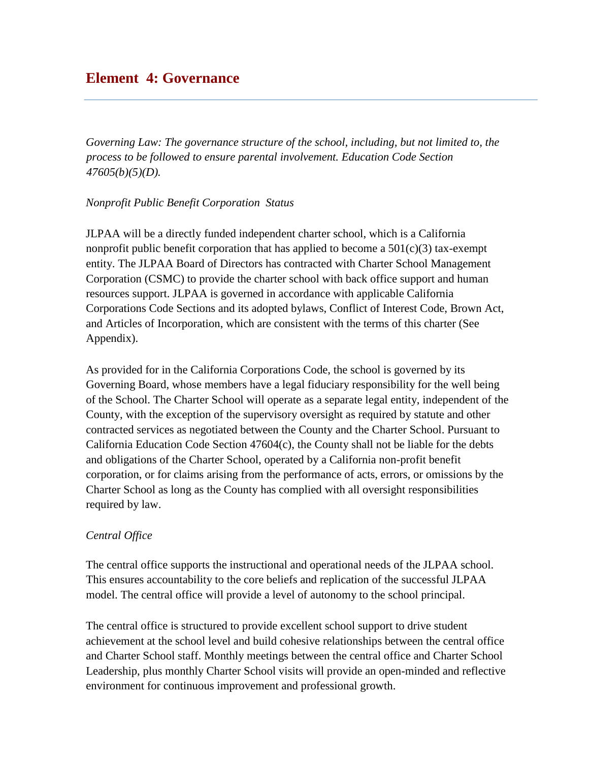# **Element 4: Governance**

*Governing Law: The governance structure of the school, including, but not limited to, the process to be followed to ensure parental involvement. Education Code Section 47605(b)(5)(D).* 

#### *Nonprofit Public Benefit Corporation Status*

JLPAA will be a directly funded independent charter school, which is a California nonprofit public benefit corporation that has applied to become a  $501(c)(3)$  tax-exempt entity. The JLPAA Board of Directors has contracted with Charter School Management Corporation (CSMC) to provide the charter school with back office support and human resources support. JLPAA is governed in accordance with applicable California Corporations Code Sections and its adopted bylaws, Conflict of Interest Code, Brown Act, and Articles of Incorporation, which are consistent with the terms of this charter (See Appendix).

As provided for in the California Corporations Code, the school is governed by its Governing Board, whose members have a legal fiduciary responsibility for the well being of the School. The Charter School will operate as a separate legal entity, independent of the County, with the exception of the supervisory oversight as required by statute and other contracted services as negotiated between the County and the Charter School. Pursuant to California Education Code Section 47604(c), the County shall not be liable for the debts and obligations of the Charter School, operated by a California non-profit benefit corporation, or for claims arising from the performance of acts, errors, or omissions by the Charter School as long as the County has complied with all oversight responsibilities required by law.

### *Central Office*

The central office supports the instructional and operational needs of the JLPAA school. This ensures accountability to the core beliefs and replication of the successful JLPAA model. The central office will provide a level of autonomy to the school principal.

The central office is structured to provide excellent school support to drive student achievement at the school level and build cohesive relationships between the central office and Charter School staff. Monthly meetings between the central office and Charter School Leadership, plus monthly Charter School visits will provide an open-minded and reflective environment for continuous improvement and professional growth.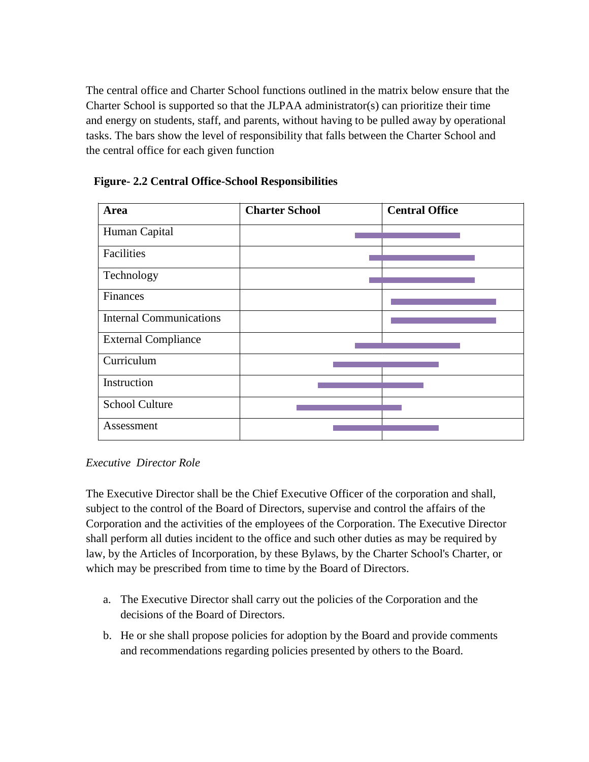The central office and Charter School functions outlined in the matrix below ensure that the Charter School is supported so that the JLPAA administrator(s) can prioritize their time and energy on students, staff, and parents, without having to be pulled away by operational tasks. The bars show the level of responsibility that falls between the Charter School and the central office for each given function

| Area                           | <b>Charter School</b> | <b>Central Office</b> |
|--------------------------------|-----------------------|-----------------------|
| Human Capital                  |                       |                       |
| Facilities                     |                       |                       |
| Technology                     |                       |                       |
| Finances                       |                       |                       |
| <b>Internal Communications</b> |                       |                       |
| <b>External Compliance</b>     |                       |                       |
| Curriculum                     |                       |                       |
| Instruction                    |                       |                       |
| <b>School Culture</b>          |                       |                       |
| Assessment                     |                       |                       |

**Figure- 2.2 Central Office-School Responsibilities** 

### *Executive Director Role*

The Executive Director shall be the Chief Executive Officer of the corporation and shall, subject to the control of the Board of Directors, supervise and control the affairs of the Corporation and the activities of the employees of the Corporation. The Executive Director shall perform all duties incident to the office and such other duties as may be required by law, by the Articles of Incorporation, by these Bylaws, by the Charter School's Charter, or which may be prescribed from time to time by the Board of Directors.

- a. The Executive Director shall carry out the policies of the Corporation and the decisions of the Board of Directors.
- b. He or she shall propose policies for adoption by the Board and provide comments and recommendations regarding policies presented by others to the Board.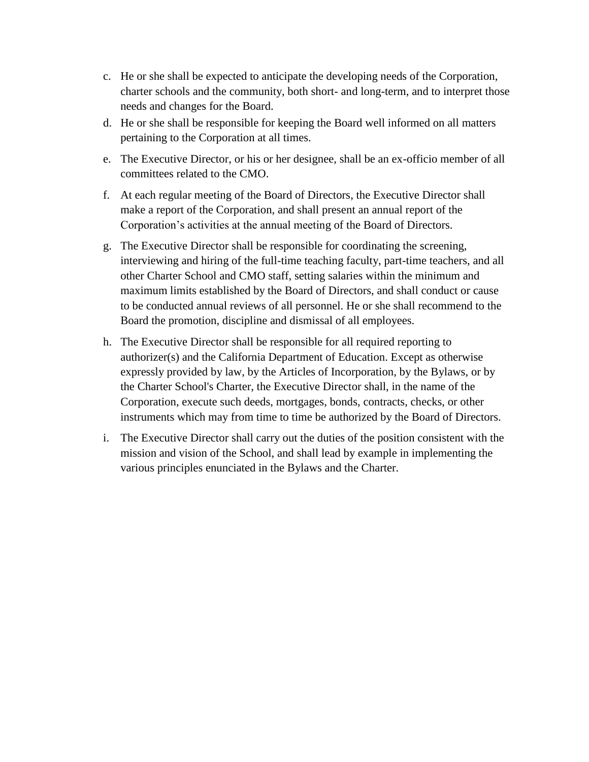- c. He or she shall be expected to anticipate the developing needs of the Corporation, charter schools and the community, both short- and long-term, and to interpret those needs and changes for the Board.
- d. He or she shall be responsible for keeping the Board well informed on all matters pertaining to the Corporation at all times.
- e. The Executive Director, or his or her designee, shall be an ex-officio member of all committees related to the CMO.
- f. At each regular meeting of the Board of Directors, the Executive Director shall make a report of the Corporation, and shall present an annual report of the Corporation's activities at the annual meeting of the Board of Directors.
- g. The Executive Director shall be responsible for coordinating the screening, interviewing and hiring of the full-time teaching faculty, part-time teachers, and all other Charter School and CMO staff, setting salaries within the minimum and maximum limits established by the Board of Directors, and shall conduct or cause to be conducted annual reviews of all personnel. He or she shall recommend to the Board the promotion, discipline and dismissal of all employees.
- h. The Executive Director shall be responsible for all required reporting to authorizer(s) and the California Department of Education. Except as otherwise expressly provided by law, by the Articles of Incorporation, by the Bylaws, or by the Charter School's Charter, the Executive Director shall, in the name of the Corporation, execute such deeds, mortgages, bonds, contracts, checks, or other instruments which may from time to time be authorized by the Board of Directors.
- i. The Executive Director shall carry out the duties of the position consistent with the mission and vision of the School, and shall lead by example in implementing the various principles enunciated in the Bylaws and the Charter.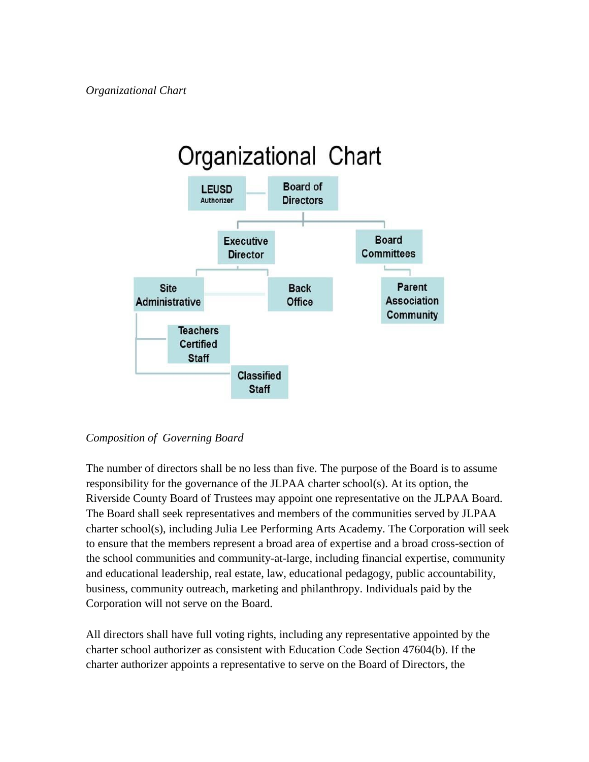

### *Composition of Governing Board*

The number of directors shall be no less than five. The purpose of the Board is to assume responsibility for the governance of the JLPAA charter school(s). At its option, the Riverside County Board of Trustees may appoint one representative on the JLPAA Board. The Board shall seek representatives and members of the communities served by JLPAA charter school(s), including Julia Lee Performing Arts Academy. The Corporation will seek to ensure that the members represent a broad area of expertise and a broad cross-section of the school communities and community-at-large, including financial expertise, community and educational leadership, real estate, law, educational pedagogy, public accountability, business, community outreach, marketing and philanthropy. Individuals paid by the Corporation will not serve on the Board.

All directors shall have full voting rights, including any representative appointed by the charter school authorizer as consistent with Education Code Section 47604(b). If the charter authorizer appoints a representative to serve on the Board of Directors, the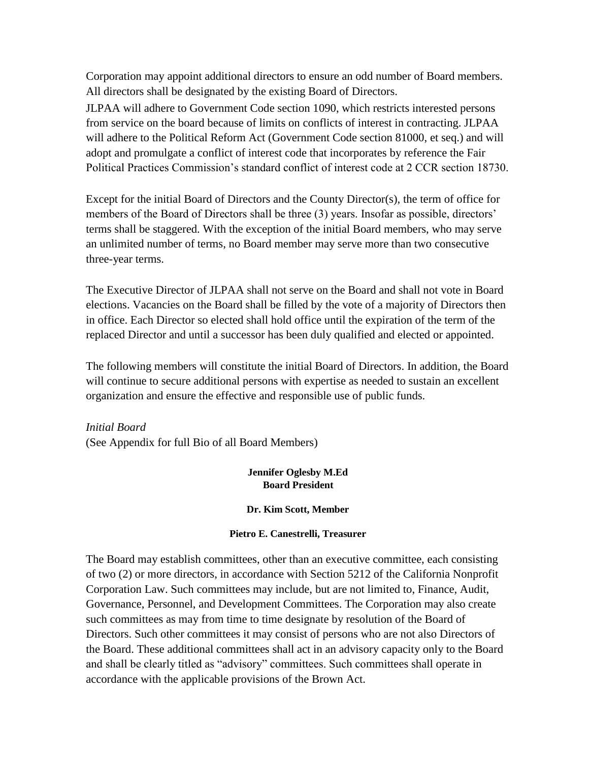Corporation may appoint additional directors to ensure an odd number of Board members. All directors shall be designated by the existing Board of Directors.

JLPAA will adhere to Government Code section 1090, which restricts interested persons from service on the board because of limits on conflicts of interest in contracting. JLPAA will adhere to the Political Reform Act (Government Code section 81000, et seq.) and will adopt and promulgate a conflict of interest code that incorporates by reference the Fair Political Practices Commission's standard conflict of interest code at 2 CCR section 18730.

Except for the initial Board of Directors and the County Director(s), the term of office for members of the Board of Directors shall be three (3) years. Insofar as possible, directors' terms shall be staggered. With the exception of the initial Board members, who may serve an unlimited number of terms, no Board member may serve more than two consecutive three-year terms.

The Executive Director of JLPAA shall not serve on the Board and shall not vote in Board elections. Vacancies on the Board shall be filled by the vote of a majority of Directors then in office. Each Director so elected shall hold office until the expiration of the term of the replaced Director and until a successor has been duly qualified and elected or appointed.

The following members will constitute the initial Board of Directors. In addition, the Board will continue to secure additional persons with expertise as needed to sustain an excellent organization and ensure the effective and responsible use of public funds.

*Initial Board*  (See Appendix for full Bio of all Board Members)

#### **Jennifer Oglesby M.Ed Board President**

#### **Dr. Kim Scott, Member**

#### **Pietro E. Canestrelli, Treasurer**

The Board may establish committees, other than an executive committee, each consisting of two (2) or more directors, in accordance with Section 5212 of the California Nonprofit Corporation Law. Such committees may include, but are not limited to, Finance, Audit, Governance, Personnel, and Development Committees. The Corporation may also create such committees as may from time to time designate by resolution of the Board of Directors. Such other committees it may consist of persons who are not also Directors of the Board. These additional committees shall act in an advisory capacity only to the Board and shall be clearly titled as "advisory" committees. Such committees shall operate in accordance with the applicable provisions of the Brown Act.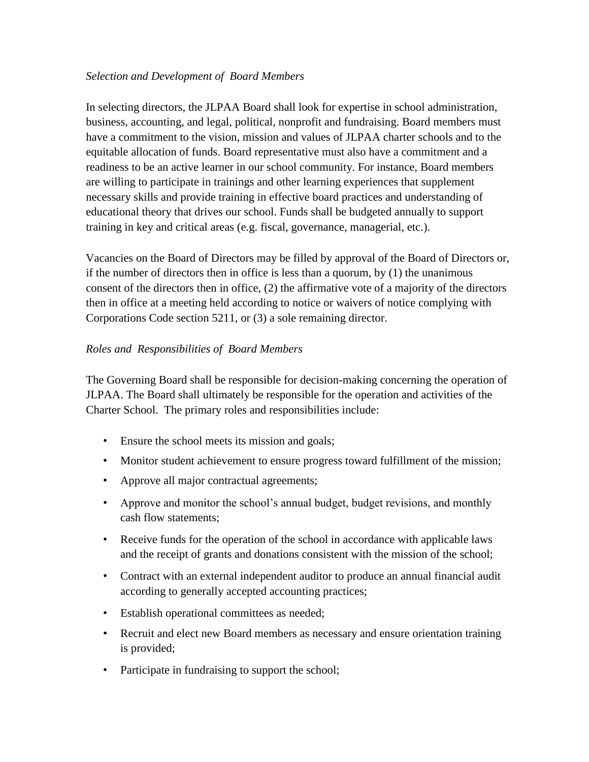#### *Selection and Development of Board Members*

In selecting directors, the JLPAA Board shall look for expertise in school administration, business, accounting, and legal, political, nonprofit and fundraising. Board members must have a commitment to the vision, mission and values of JLPAA charter schools and to the equitable allocation of funds. Board representative must also have a commitment and a readiness to be an active learner in our school community. For instance, Board members are willing to participate in trainings and other learning experiences that supplement necessary skills and provide training in effective board practices and understanding of educational theory that drives our school. Funds shall be budgeted annually to support training in key and critical areas (e.g. fiscal, governance, managerial, etc.).

Vacancies on the Board of Directors may be filled by approval of the Board of Directors or, if the number of directors then in office is less than a quorum, by (1) the unanimous consent of the directors then in office, (2) the affirmative vote of a majority of the directors then in office at a meeting held according to notice or waivers of notice complying with Corporations Code section 5211, or (3) a sole remaining director.

### *Roles and Responsibilities of Board Members*

The Governing Board shall be responsible for decision-making concerning the operation of JLPAA. The Board shall ultimately be responsible for the operation and activities of the Charter School. The primary roles and responsibilities include:

- Ensure the school meets its mission and goals;
- Monitor student achievement to ensure progress toward fulfillment of the mission;
- Approve all major contractual agreements;
- Approve and monitor the school's annual budget, budget revisions, and monthly cash flow statements;
- Receive funds for the operation of the school in accordance with applicable laws and the receipt of grants and donations consistent with the mission of the school;
- Contract with an external independent auditor to produce an annual financial audit according to generally accepted accounting practices;
- Establish operational committees as needed;
- Recruit and elect new Board members as necessary and ensure orientation training is provided;
- Participate in fundraising to support the school;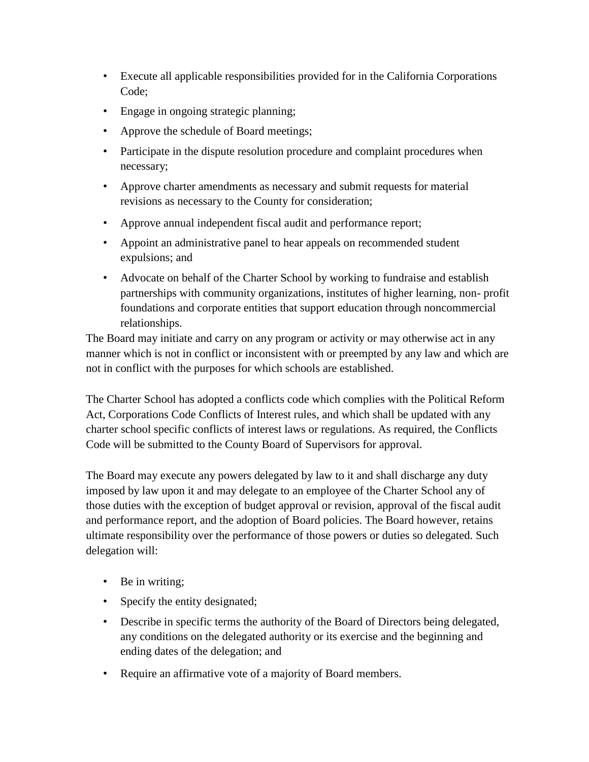- Execute all applicable responsibilities provided for in the California Corporations Code;
- Engage in ongoing strategic planning;
- Approve the schedule of Board meetings;
- Participate in the dispute resolution procedure and complaint procedures when necessary;
- Approve charter amendments as necessary and submit requests for material revisions as necessary to the County for consideration;
- Approve annual independent fiscal audit and performance report;
- Appoint an administrative panel to hear appeals on recommended student expulsions; and
- Advocate on behalf of the Charter School by working to fundraise and establish partnerships with community organizations, institutes of higher learning, non- profit foundations and corporate entities that support education through noncommercial relationships.

The Board may initiate and carry on any program or activity or may otherwise act in any manner which is not in conflict or inconsistent with or preempted by any law and which are not in conflict with the purposes for which schools are established.

The Charter School has adopted a conflicts code which complies with the Political Reform Act, Corporations Code Conflicts of Interest rules, and which shall be updated with any charter school specific conflicts of interest laws or regulations. As required, the Conflicts Code will be submitted to the County Board of Supervisors for approval.

The Board may execute any powers delegated by law to it and shall discharge any duty imposed by law upon it and may delegate to an employee of the Charter School any of those duties with the exception of budget approval or revision, approval of the fiscal audit and performance report, and the adoption of Board policies. The Board however, retains ultimate responsibility over the performance of those powers or duties so delegated. Such delegation will:

- Be in writing;
- Specify the entity designated;
- Describe in specific terms the authority of the Board of Directors being delegated, any conditions on the delegated authority or its exercise and the beginning and ending dates of the delegation; and
- Require an affirmative vote of a majority of Board members.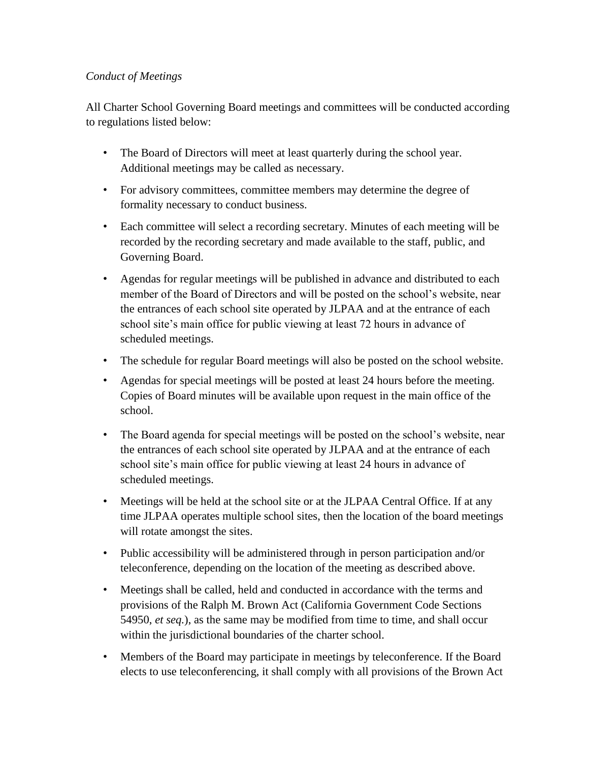### *Conduct of Meetings*

All Charter School Governing Board meetings and committees will be conducted according to regulations listed below:

- The Board of Directors will meet at least quarterly during the school year. Additional meetings may be called as necessary.
- For advisory committees, committee members may determine the degree of formality necessary to conduct business.
- Each committee will select a recording secretary. Minutes of each meeting will be recorded by the recording secretary and made available to the staff, public, and Governing Board.
- Agendas for regular meetings will be published in advance and distributed to each member of the Board of Directors and will be posted on the school's website, near the entrances of each school site operated by JLPAA and at the entrance of each school site's main office for public viewing at least 72 hours in advance of scheduled meetings.
- The schedule for regular Board meetings will also be posted on the school website.
- Agendas for special meetings will be posted at least 24 hours before the meeting. Copies of Board minutes will be available upon request in the main office of the school.
- The Board agenda for special meetings will be posted on the school's website, near the entrances of each school site operated by JLPAA and at the entrance of each school site's main office for public viewing at least 24 hours in advance of scheduled meetings.
- Meetings will be held at the school site or at the JLPAA Central Office. If at any time JLPAA operates multiple school sites, then the location of the board meetings will rotate amongst the sites.
- Public accessibility will be administered through in person participation and/or teleconference, depending on the location of the meeting as described above.
- Meetings shall be called, held and conducted in accordance with the terms and provisions of the Ralph M. Brown Act (California Government Code Sections 54950, *et seq.*), as the same may be modified from time to time, and shall occur within the jurisdictional boundaries of the charter school.
- Members of the Board may participate in meetings by teleconference. If the Board elects to use teleconferencing, it shall comply with all provisions of the Brown Act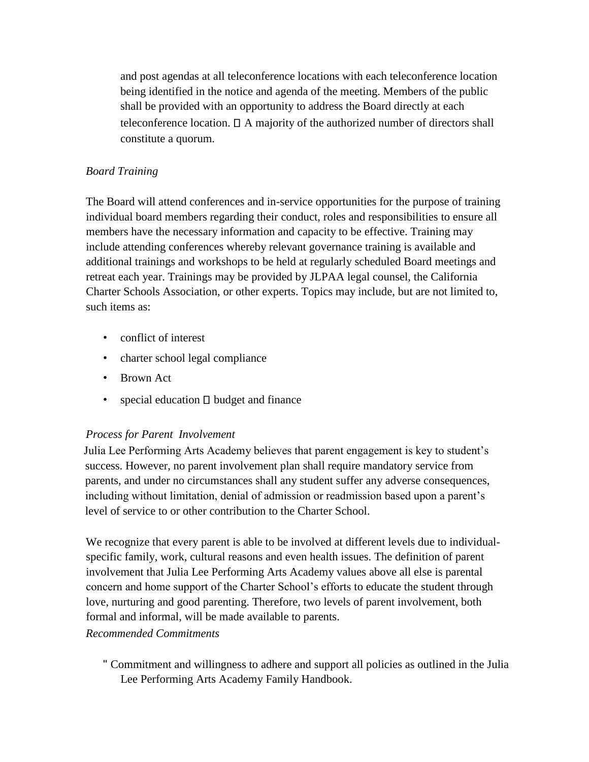and post agendas at all teleconference locations with each teleconference location being identified in the notice and agenda of the meeting. Members of the public shall be provided with an opportunity to address the Board directly at each teleconference location.  $\Box$  A majority of the authorized number of directors shall constitute a quorum.

### *Board Training*

The Board will attend conferences and in-service opportunities for the purpose of training individual board members regarding their conduct, roles and responsibilities to ensure all members have the necessary information and capacity to be effective. Training may include attending conferences whereby relevant governance training is available and additional trainings and workshops to be held at regularly scheduled Board meetings and retreat each year. Trainings may be provided by JLPAA legal counsel, the California Charter Schools Association, or other experts. Topics may include, but are not limited to, such items as:

- conflict of interest
- charter school legal compliance
- Brown Act
- special education  $\Box$  budget and finance

# *Process for Parent Involvement*

Julia Lee Performing Arts Academy believes that parent engagement is key to student's success. However, no parent involvement plan shall require mandatory service from parents, and under no circumstances shall any student suffer any adverse consequences, including without limitation, denial of admission or readmission based upon a parent's level of service to or other contribution to the Charter School.

We recognize that every parent is able to be involved at different levels due to individualspecific family, work, cultural reasons and even health issues. The definition of parent involvement that Julia Lee Performing Arts Academy values above all else is parental concern and home support of the Charter School's efforts to educate the student through love, nurturing and good parenting. Therefore, two levels of parent involvement, both formal and informal, will be made available to parents.

*Recommended Commitments* 

" Commitment and willingness to adhere and support all policies as outlined in the Julia Lee Performing Arts Academy Family Handbook.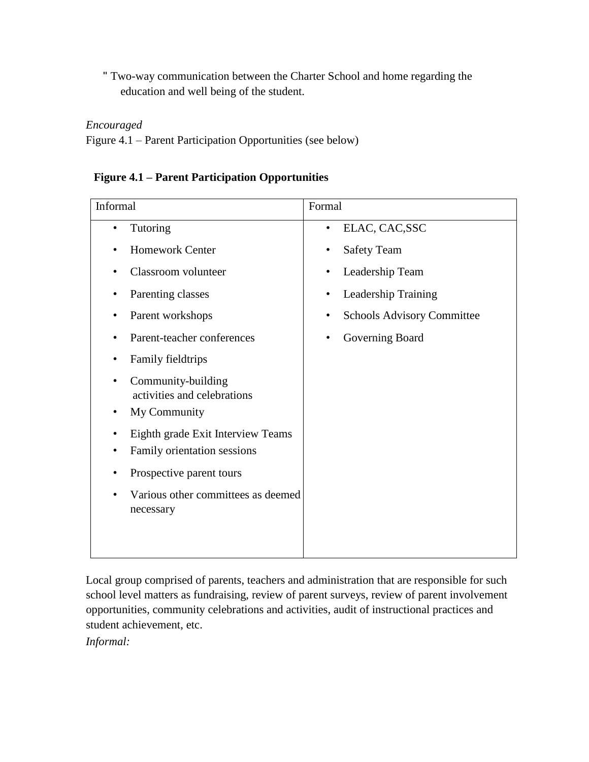" Two-way communication between the Charter School and home regarding the education and well being of the student.

### *Encouraged*

Figure 4.1 – Parent Participation Opportunities (see below)

# **Figure 4.1 – Parent Participation Opportunities**

| Informal                                                         | Formal                                         |  |
|------------------------------------------------------------------|------------------------------------------------|--|
| Tutoring                                                         | ELAC, CAC, SSC<br>$\bullet$                    |  |
| <b>Homework Center</b>                                           | <b>Safety Team</b><br>$\bullet$                |  |
| Classroom volunteer                                              | Leadership Team                                |  |
| Parenting classes                                                | Leadership Training<br>٠                       |  |
| Parent workshops                                                 | <b>Schools Advisory Committee</b><br>$\bullet$ |  |
| Parent-teacher conferences                                       | Governing Board                                |  |
| <b>Family fieldtrips</b>                                         |                                                |  |
| Community-building<br>activities and celebrations                |                                                |  |
| My Community                                                     |                                                |  |
| Eighth grade Exit Interview Teams<br>Family orientation sessions |                                                |  |
| Prospective parent tours                                         |                                                |  |
| Various other committees as deemed<br>necessary                  |                                                |  |
|                                                                  |                                                |  |

Local group comprised of parents, teachers and administration that are responsible for such school level matters as fundraising, review of parent surveys, review of parent involvement opportunities, community celebrations and activities, audit of instructional practices and student achievement, etc.

*Informal:*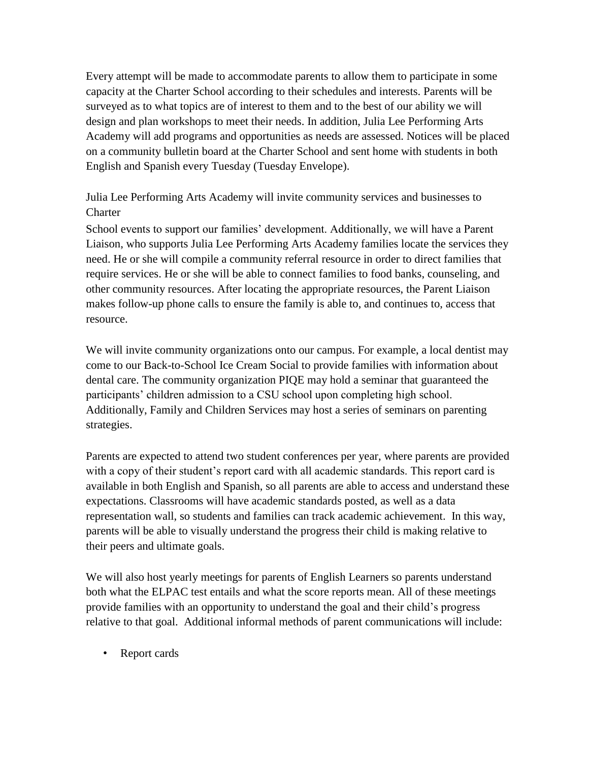Every attempt will be made to accommodate parents to allow them to participate in some capacity at the Charter School according to their schedules and interests. Parents will be surveyed as to what topics are of interest to them and to the best of our ability we will design and plan workshops to meet their needs. In addition, Julia Lee Performing Arts Academy will add programs and opportunities as needs are assessed. Notices will be placed on a community bulletin board at the Charter School and sent home with students in both English and Spanish every Tuesday (Tuesday Envelope).

# Julia Lee Performing Arts Academy will invite community services and businesses to **Charter**

School events to support our families' development. Additionally, we will have a Parent Liaison, who supports Julia Lee Performing Arts Academy families locate the services they need. He or she will compile a community referral resource in order to direct families that require services. He or she will be able to connect families to food banks, counseling, and other community resources. After locating the appropriate resources, the Parent Liaison makes follow-up phone calls to ensure the family is able to, and continues to, access that resource.

We will invite community organizations onto our campus. For example, a local dentist may come to our Back-to-School Ice Cream Social to provide families with information about dental care. The community organization PIQE may hold a seminar that guaranteed the participants' children admission to a CSU school upon completing high school. Additionally, Family and Children Services may host a series of seminars on parenting strategies.

Parents are expected to attend two student conferences per year, where parents are provided with a copy of their student's report card with all academic standards. This report card is available in both English and Spanish, so all parents are able to access and understand these expectations. Classrooms will have academic standards posted, as well as a data representation wall, so students and families can track academic achievement. In this way, parents will be able to visually understand the progress their child is making relative to their peers and ultimate goals.

We will also host yearly meetings for parents of English Learners so parents understand both what the ELPAC test entails and what the score reports mean. All of these meetings provide families with an opportunity to understand the goal and their child's progress relative to that goal. Additional informal methods of parent communications will include:

• Report cards